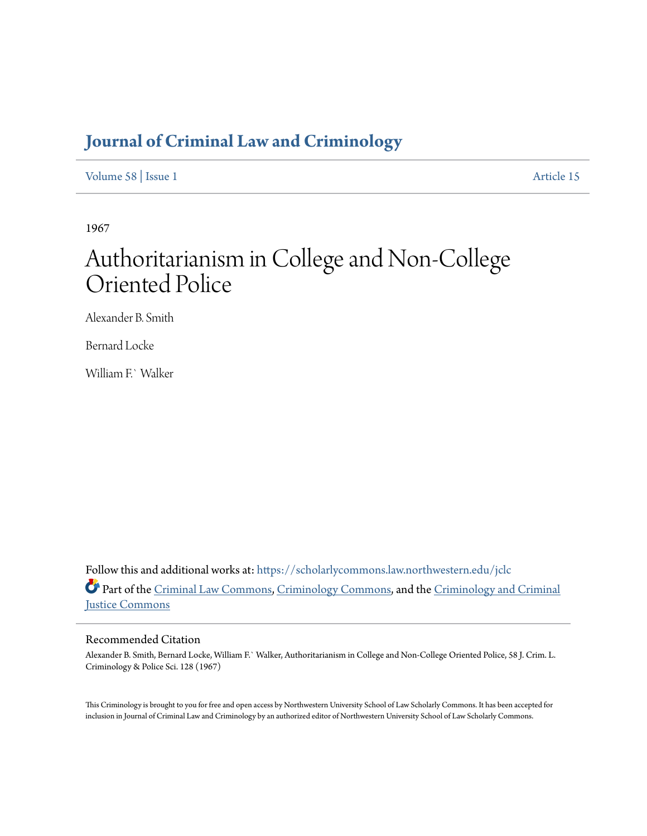## **[Journal of Criminal Law and Criminology](https://scholarlycommons.law.northwestern.edu/jclc?utm_source=scholarlycommons.law.northwestern.edu%2Fjclc%2Fvol58%2Fiss1%2F15&utm_medium=PDF&utm_campaign=PDFCoverPages)**

[Volume 58](https://scholarlycommons.law.northwestern.edu/jclc/vol58?utm_source=scholarlycommons.law.northwestern.edu%2Fjclc%2Fvol58%2Fiss1%2F15&utm_medium=PDF&utm_campaign=PDFCoverPages) | [Issue 1](https://scholarlycommons.law.northwestern.edu/jclc/vol58/iss1?utm_source=scholarlycommons.law.northwestern.edu%2Fjclc%2Fvol58%2Fiss1%2F15&utm_medium=PDF&utm_campaign=PDFCoverPages) [Article 15](https://scholarlycommons.law.northwestern.edu/jclc/vol58/iss1/15?utm_source=scholarlycommons.law.northwestern.edu%2Fjclc%2Fvol58%2Fiss1%2F15&utm_medium=PDF&utm_campaign=PDFCoverPages)

1967

# Authoritarianism in College and Non-College Oriented Police

Alexander B. Smith

Bernard Locke

William E` Walker

Follow this and additional works at: [https://scholarlycommons.law.northwestern.edu/jclc](https://scholarlycommons.law.northwestern.edu/jclc?utm_source=scholarlycommons.law.northwestern.edu%2Fjclc%2Fvol58%2Fiss1%2F15&utm_medium=PDF&utm_campaign=PDFCoverPages) Part of the [Criminal Law Commons](http://network.bepress.com/hgg/discipline/912?utm_source=scholarlycommons.law.northwestern.edu%2Fjclc%2Fvol58%2Fiss1%2F15&utm_medium=PDF&utm_campaign=PDFCoverPages), [Criminology Commons](http://network.bepress.com/hgg/discipline/417?utm_source=scholarlycommons.law.northwestern.edu%2Fjclc%2Fvol58%2Fiss1%2F15&utm_medium=PDF&utm_campaign=PDFCoverPages), and the [Criminology and Criminal](http://network.bepress.com/hgg/discipline/367?utm_source=scholarlycommons.law.northwestern.edu%2Fjclc%2Fvol58%2Fiss1%2F15&utm_medium=PDF&utm_campaign=PDFCoverPages) [Justice Commons](http://network.bepress.com/hgg/discipline/367?utm_source=scholarlycommons.law.northwestern.edu%2Fjclc%2Fvol58%2Fiss1%2F15&utm_medium=PDF&utm_campaign=PDFCoverPages)

### Recommended Citation

Alexander B. Smith, Bernard Locke, William F.` Walker, Authoritarianism in College and Non-College Oriented Police, 58 J. Crim. L. Criminology & Police Sci. 128 (1967)

This Criminology is brought to you for free and open access by Northwestern University School of Law Scholarly Commons. It has been accepted for inclusion in Journal of Criminal Law and Criminology by an authorized editor of Northwestern University School of Law Scholarly Commons.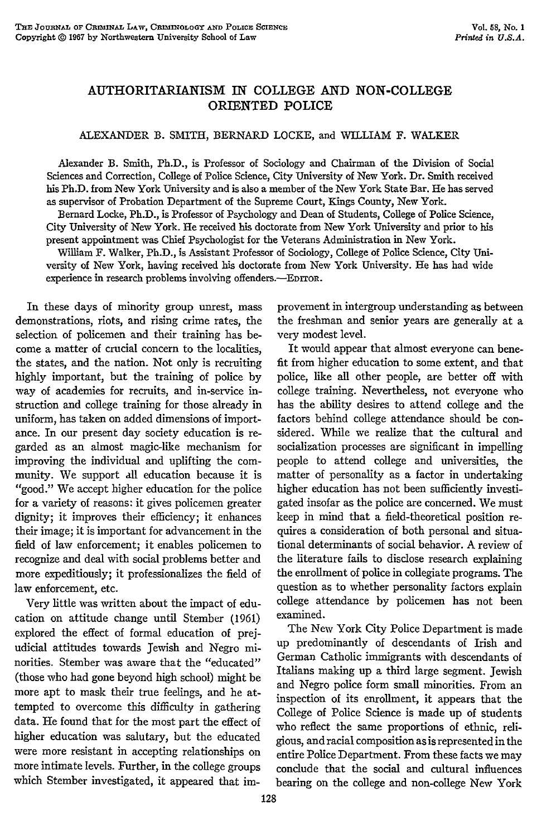#### **AUTHORITARIANISM IN COLLEGE AND NON-COLLEGE ORIENTED POLICE**

#### ALEXANDER B. SMITH, BERNARD LOCKE, and WILLIAM F. WALKER

Alexander B. Smith, Ph.D., is Professor of Sociology and Chairman of the Division of Social Sciences and Correction, College of Police Science, City University of New York. Dr. Smith received his Ph.D. from New York University and is also a member of the New York State Bar. He has served as supervisor of Probation Department of the Supreme Court, Kings County, New York.

Bernard Locke, Ph.D., is Professor of Psychology and Dean of Students, College of Police Science, City University of New York. He received his doctorate from New York University and prior to his present appointment was Chief Psychologist for the Veterans Administration in New York.

William F. Walker, Ph.D., is Assistant Professor of Sociology, College of Police Science, City University of New York, having received his doctorate from New York University. He has had wide experience in research problems involving offenders.—EDITOR.

In these days of minority group unrest, mass demonstrations, riots, and rising crime rates, the selection of policemen and their training has become a matter of crucial concern to the localities, the states, and the nation. Not only is recruiting highly important, but the training of police by way of academies for recruits, and in-service instruction and college training for those already in uniform, has taken on added dimensions of importance. In our present day society education is regarded as an almost magic-like mechanism for improving the individual and uplifting the community. We support all education because it is "good." We accept higher education for the police for a variety of reasons: it gives policemen greater dignity; it improves their efficiency; it enhances their image; it is important for advancement in the field of law enforcement; it enables policemen to recognize and deal with social problems better and more expeditiously; it professionalizes the field of law enforcement, etc.

Very little was written about the impact of education on attitude change until Stember (1961) explored the effect of formal education of prejudicial attitudes towards Jewish and Negro minorities. Stember was aware that the "educated" (those who had gone beyond high school) might be more apt to mask their true feelings, and he attempted to overcome this difficulty in gathering data. He found that for the most part the effect of higher education was salutary, but the educated were more resistant in accepting relationships on more intimate levels. Further, in the college groups which Stember investigated, it appeared that improvement in intergroup understanding as between the freshman and senior years are generally at a very modest level.

It would appear that almost everyone can benefit from higher education to some extent, and that police, like all other people, are better off with college training. Nevertheless, not everyone who has the ability desires to attend college and the factors behind college attendance should be considered. While we realize that the cultural and socialization processes are significant in impelling people to attend college and universities, the matter of personality as a factor in undertaking higher education has not been sufficiently investigated insofar as the police are concerned. We must keep in mind that a field-theoretical position requires a consideration of both personal and situational determinants of social behavior. A review of the literature fails to disclose research explaining the enrollment of police in collegiate programs. The question as to whether personality factors explain college attendance by policemen has not been examined.

The New York City Police Department is made up predominantly of descendants of Irish and German Catholic immigrants with descendants of Italians making up a third large segment. Jewish and Negro police form small minorities. From an inspection of its enrollment, it appears that the College of Police Science is made up of students who reflect the same proportions of ethnic, religious, and racial composition as is represented in the entire Police Department. From these facts we may conclude that the social and cultural influences bearing on the college and non-college New York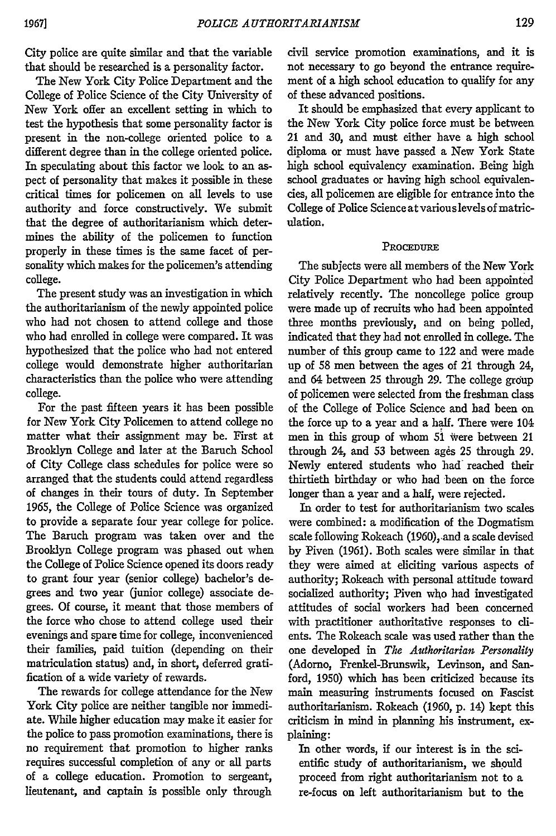City police are quite similar and that the variable that should be researched is a personality factor.

The New York City Police Department and the College of Police Science of the City University of New York offer an excellent setting in which to test the hypothesis that some personality factor is present in the non-college oriented police to a different degree than in the college oriented police. In speculating about this factor we look to an aspect of personality that makes it possible in these critical times for policemen on all levels to use authority and force constructively. We submit that the degree of authoritarianism which determines the ability of the policemen to function properly in these times is the same facet of personality which makes for the policemen's attending college.

The present study was an investigation in which the authoritarianism of the newly appointed police who had not chosen to attend college and those who had enrolled in college were compared. It was hypothesized that the police who had not entered college would demonstrate higher authoritarian characteristics than the police who were attending college.

For the past fifteen years it has been possible for New York City Policemen to attend college no matter what their assignment may be. First at Brooklyn College and later at the Baruch School of City College class schedules for police were so arranged that the students could attend regardless of changes in their tours of duty. In September 1965, the College of Police Science was organized to provide a separate four year college for police. The Baruch program was taken over and the Brooklyn College program was phased out when the College of Police Science opened its doors ready to grant four year (senior college) bachelor's degrees and two year (junior college) associate degrees. Of course, it meant that those members of the force who chose to attend college used their evenings and spare time for college, inconvenienced their families, paid tuition (depending on their matriculation status) and, in short, deferred gratification of a wide variety of rewards.

The rewards for college attendance for the New York City police are neither tangible nor immediate. While higher education may make it easier for the police to pass promotion examinations, there is no requirement that promotion to higher ranks requires successful completion of any or all parts of a college education. Promotion to sergeant, lieutenant, and captain is possible only through

civil service promotion examinations, and it is not necessary to go beyond the entrance requirement of a high school education to qualify for any of these advanced positions.

It should be emphasized that every applicant to the New York City police force must be between 21 and 30, and must either have a high school diploma or must have passed a New York State high school equivalency examination. Being high school graduates or having high school equivalencies, all policemen are eligible for entrance into the College of Police Science at variouslevels of matriculation.

#### **PROCEDURE**

The subjects were all members of the New York City Police Department who had been appointed relatively recently. The noncollege police group were made up of recruits who had been appointed three months previously, and on being polled, indicated that they bad not enrolled in college. The number of this group came to 122 and were made up of 58 men between the ages of 21 through 24, and 64 between 25 through 29. The college group of policemen were selected from the freshman class of the College of Police Science and had been on the force up to a year and a half. There were 104 men in this group of whom 51 Were between 21 through 24, and 53 between ages 25 through 29. Newly entered students who had reached their thirtieth birthday or who had been on the force longer than a year and a half, were rejected.

In order to test for authoritarianism two scales were combined: a modification of the Dogmatism scale following Rokeach (1960), and a scale devised by Piven (1961). Both scales were similar in that they were aimed at eliciting various aspects of authority; Rokeach with personal attitude toward socialized authority; Piven who had investigated attitudes of social workers had been concerned with practitioner authoritative responses to clients. The Rokeach scale was used rather than the one developed in *The Authoritarian Personality* (Adorno, Frenkel-Brunswik, Levinson, and Sanford, 1950) which has been criticized because its main measuring instruments focused on Fascist authoritarianism. Rokeach (1960, p. 14) kept this criticism in mind in planning his instrument, explaining:

In other words, if our interest is in the scientific study of authoritarianism, we should proceed from right authoritarianism not to a re-focus on left authoritarianism but to the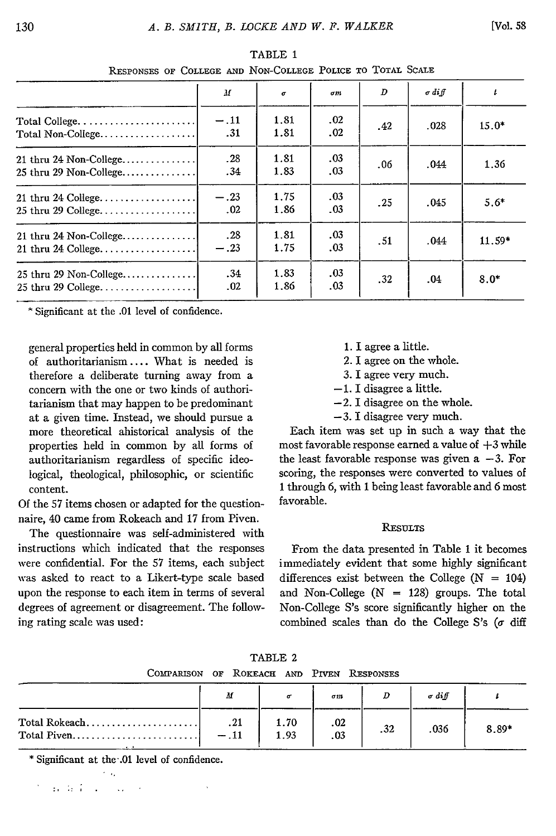| The angle of compone who that compone them to    |               |              |            |     |               |         |
|--------------------------------------------------|---------------|--------------|------------|-----|---------------|---------|
|                                                  | M             | $\sigma$     | $\sigma m$ | D   | $\sigma$ diff | t       |
| Total Non-College                                | $-.11$<br>.31 | 1.81<br>1.81 | .02<br>.02 | .42 | .028          | $15.0*$ |
| 21 thru 24 Non-College<br>25 thru 29 Non-College | .28<br>.34    | 1.81<br>1.83 | .03<br>.03 | .06 | .044          | 1.36    |
| 21 thru 24 College<br>25 thru 29 College         | $-.23$<br>.02 | 1.75<br>1.86 | .03<br>.03 | .25 | .045          | $5.6*$  |
| 21 thru 24 Non-College<br>21 thru 24 College     | .28<br>$-.23$ | 1.81<br>1.75 | .03<br>.03 | .51 | .044          | 11.59*  |
| 25 thru 29 Non-College<br>25 thru 29 College     | .34<br>.02    | 1.83<br>1.86 | .03<br>.03 | .32 | .04           | $8.0*$  |

TABLE 1 **RESPONSES** OF **COLLEGE AND** NON-COLLEGE **POLICE** TO TOTAL **SCALE**

\* Significant at the .01 level of confidence.

general properties held in common by all forms 1. I agree a little. of authoritarianism .... What is needed is 2. I agree on the whole. therefore a deliberate turning away from a 3. I agree very much. concern with the one or two kinds of authori-  $-1$ . I disagree a little. tarianism that may happen to be predominant  $-2$ . I disagree on the whole. at a given time. Instead, we should pursue a  $-3$ . I disagree very much.<br>more theoretical ahistorical analysis of the Each item was set up in such a way that the more theoretical ahistorical analysis of the

Of the 57 items chosen or adapted for the questionnaire, 40 came from Rokeach and 17 from Piven.

The questionnaire was self-administered with **RESULTS** instructions which indicated that the responses From the data presented in Table 1 it becomes were confidential. For the 57 items, each subject immediately evident that some highly significant was asked to react to a Likert-type scale based differences exist between the College (N **=** 104) upon the response to each item in terms of several and Non-College (N **=** 128) groups. The total degrees of agreement or disagreement. The follow- Non-College S's score significantly higher on the ing rating scale was used: combined scales than do the College S's ( $\sigma$  diff

- 
- 
- 
- 
- 
- 

properties held in common by all forms of most favorable response earned a value of +3 while authoritarianism regardless of specific ideo- the least favorable response was given a -3. For logical, theological, philosophic, or scientific scoring, the responses were converted to values of content.<br>
<sup>1</sup> through 6, with 1 being least favorable and 6 most<br>
<sup>1</sup> the 57 items chosen or adapted for the question. <br>
<sup>1</sup> favorable.

| TABLE 2                                   |  |  |  |  |  |  |  |
|-------------------------------------------|--|--|--|--|--|--|--|
| COMPARISON OF ROKEACH AND PIVEN RESPONSES |  |  |  |  |  |  |  |

|               | M             |              | σm         |     | $\sigma$ diff |         |
|---------------|---------------|--------------|------------|-----|---------------|---------|
| Total Rokeach | .21<br>$-.11$ | 1.70<br>1.93 | .02<br>.03 | .32 | .036          | $8.89*$ |

**\*** Significant at the .01 level of confidence.

n de Pous Course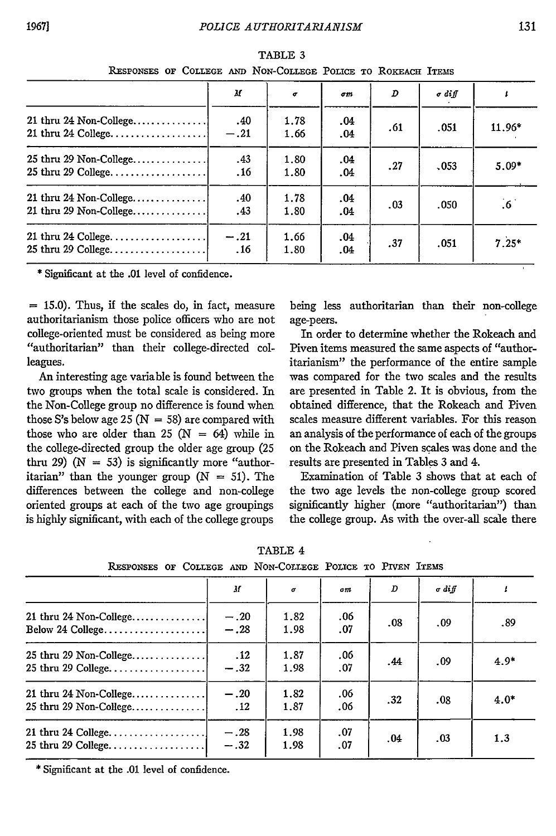| ALSPONSES OF COLLEGE AND INON-COLLEGE FOLICE TO AOKEACH ITEMS |               |              |                |     |               |              |
|---------------------------------------------------------------|---------------|--------------|----------------|-----|---------------|--------------|
|                                                               | М             | $\sigma$     | σm             | D   | $\sigma$ diff |              |
| 21 thru 24 Non-College<br>21 thru 24 College                  | .40<br>$-.21$ | 1.78<br>1.66 | $.04\,$<br>.04 | .61 | .051          | 11.96*       |
| 25 thru 29 Non-College<br>25 thru 29 College                  | .43<br>.16    | 1.80<br>1.80 | .04<br>.04     | .27 | 0.053         | $5.09*$      |
| 21 thru 24 Non-College<br>21 thru 29 Non-College              | .40<br>.43    | 1.78<br>1.80 | $.04\,$<br>.04 | .03 | .050          | $.6^{\circ}$ |
| 21 thru 24 College<br>25 thru 29 College                      | $-.21$<br>.16 | 1.66<br>1.80 | $.04\,$<br>.04 | .37 | .051          | $7.25*$      |

RESPONSES **or** COLLEGE TABLE 3 **AND** NoN-COLLEGE POLICE **To RoKEAcH** ITEMS

\* Significant at the **.01** level of confidence.

 $=$  15.0). Thus, if the scales do, in fact, measure being less authoritarian than their non-college authoritarianism those police officers who are not age-peers. college-oriented must be considered as being more In order to determine whether the Rokeach and "authoritarian" than their college-directed col- Piven items measured the same aspects of "authorleagues. itarianism" the performance of the entire sample

two groups when the total scale is considered. In are presented in Table 2. It is obvious, from the the Non-College group no difference is found when obtained difference, that the Rokeach and Piven those S's below age 25 ( $N = 58$ ) are compared with scales measure different variables. For this reason those who are older than 25 ( $N = 64$ ) while in an analysis of the performance of each of the groups the college-directed group the older age group (25 on the Rokeach and Piven scales was done and the thru 29) ( $N = 53$ ) is significantly more "author- results are presented in Tables 3 and 4. itarian" than the younger group  $(N = 51)$ . The Examination of Table 3 shows that at each of differences between the college and non-college the two age levels the non-college group scored oriented groups at each of the two age groupings significantly higher (more "authoritarian") than is highly significant, with each of the college groups the college group. As with the over-all scale there

An interesting age variable is found between the was compared for the two scales and the results

| RESPONSES OF COLLEGE AND NON-COLLEGE POLICE TO PIVEN ITEMS |                  |              |            |     |               |        |
|------------------------------------------------------------|------------------|--------------|------------|-----|---------------|--------|
|                                                            | $\boldsymbol{H}$ | σ            | am.        | D   | $\sigma$ diff |        |
| 21 thru 24 Non-College<br>Below 24 College                 | $-.20$<br>$-.28$ | 1.82<br>1.98 | .06<br>.07 | .08 | .09           | .89    |
| 25 thru 29 Non-College<br>25 thru 29 College               | .12<br>$-.32$    | 1.87<br>1.98 | .06<br>.07 | .44 | .09           | $4.9*$ |
| 21 thru 24 Non-College<br>25 thru 29 Non-College           | $-.20$<br>.12    | 1.82<br>1.87 | .06<br>.06 | .32 | .08           | $4.0*$ |
| 25 thru 29 College                                         | $-.28$<br>$-.32$ | 1.98<br>1.98 | .07<br>.07 | .04 | .03           | 1.3    |

TABLE 4

**RESPONSES** OF COLLEGE **AND** NON-COLLEGE POLICE TO **PIVEN** ITEMS

\* Significant at the .01 level of confidence.